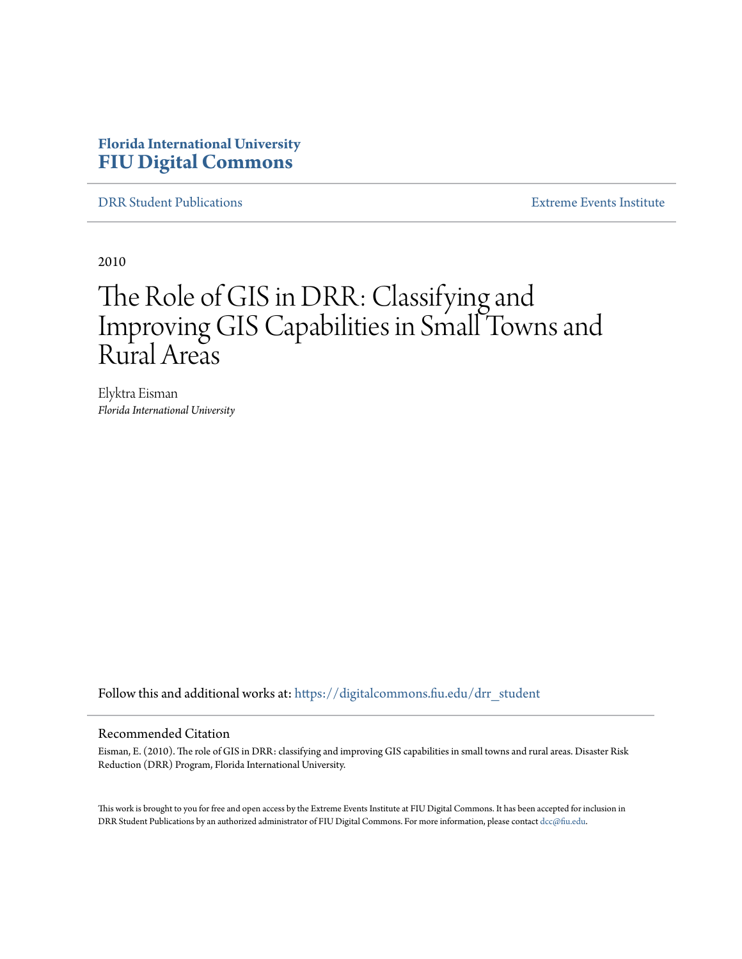# **Florida International University [FIU Digital Commons](https://digitalcommons.fiu.edu?utm_source=digitalcommons.fiu.edu%2Fdrr_student%2F12&utm_medium=PDF&utm_campaign=PDFCoverPages)**

[DRR Student Publications](https://digitalcommons.fiu.edu/drr_student?utm_source=digitalcommons.fiu.edu%2Fdrr_student%2F12&utm_medium=PDF&utm_campaign=PDFCoverPages) [Extreme Events Institute](https://digitalcommons.fiu.edu/drr?utm_source=digitalcommons.fiu.edu%2Fdrr_student%2F12&utm_medium=PDF&utm_campaign=PDFCoverPages)

2010

# The Role of GIS in DRR: Classifying and Improving GIS Capabilities in Small Towns and Rural Areas

Elyktra Eisman *Florida International University*

Follow this and additional works at: [https://digitalcommons.fiu.edu/drr\\_student](https://digitalcommons.fiu.edu/drr_student?utm_source=digitalcommons.fiu.edu%2Fdrr_student%2F12&utm_medium=PDF&utm_campaign=PDFCoverPages)

#### Recommended Citation

Eisman, E. (2010). The role of GIS in DRR: classifying and improving GIS capabilities in small towns and rural areas. Disaster Risk Reduction (DRR) Program, Florida International University.

This work is brought to you for free and open access by the Extreme Events Institute at FIU Digital Commons. It has been accepted for inclusion in DRR Student Publications by an authorized administrator of FIU Digital Commons. For more information, please contact [dcc@fiu.edu](mailto:dcc@fiu.edu).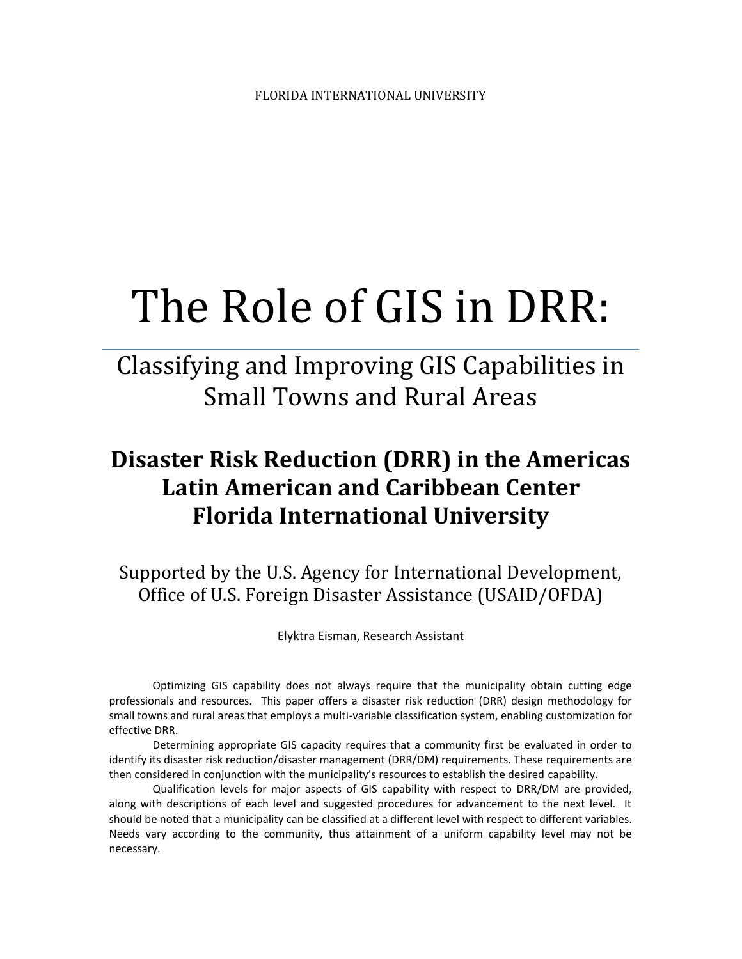# The Role of GIS in DRR:

# Classifying and Improving GIS Capabilities in Small Towns and Rural Areas

# **Disaster Risk Reduction (DRR) in the Americas Latin American and Caribbean Center Florida International University**

Supported by the U.S. Agency for International Development, Office of U.S. Foreign Disaster Assistance (USAID/OFDA)

Elyktra Eisman, Research Assistant

Optimizing GIS capability does not always require that the municipality obtain cutting edge professionals and resources. This paper offers a disaster risk reduction (DRR) design methodology for small towns and rural areas that employs a multi-variable classification system, enabling customization for effective DRR.

Determining appropriate GIS capacity requires that a community first be evaluated in order to identify its disaster risk reduction/disaster management (DRR/DM) requirements. These requirements are then considered in conjunction with the municipality's resources to establish the desired capability.

Qualification levels for major aspects of GIS capability with respect to DRR/DM are provided, along with descriptions of each level and suggested procedures for advancement to the next level. It should be noted that a municipality can be classified at a different level with respect to different variables. Needs vary according to the community, thus attainment of a uniform capability level may not be necessary.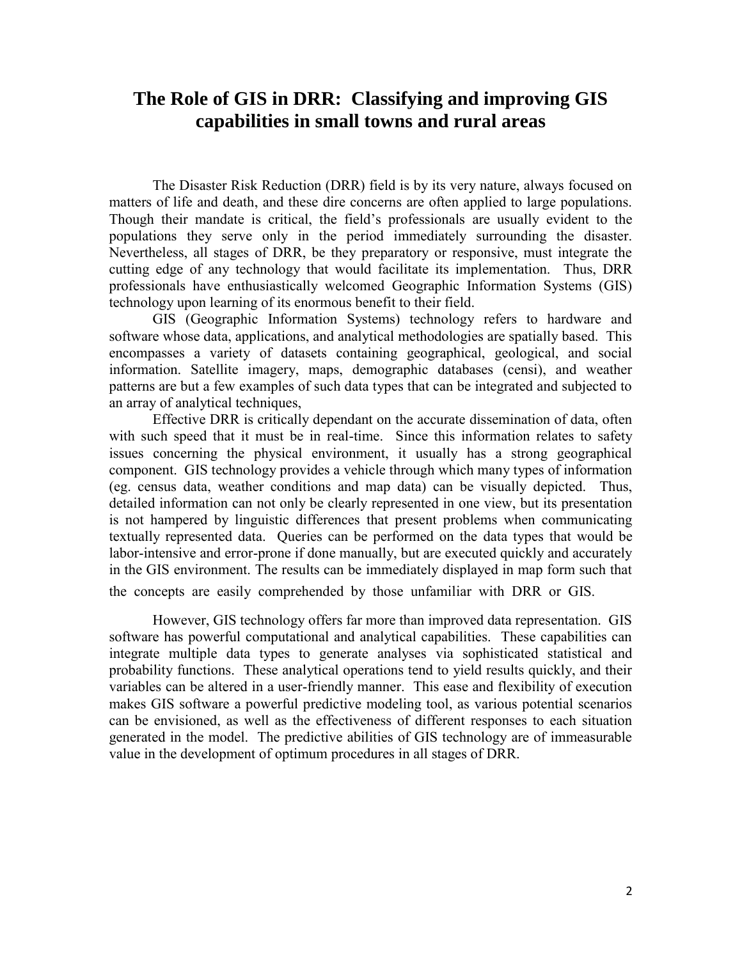# **The Role of GIS in DRR: Classifying and improving GIS capabilities in small towns and rural areas**

The Disaster Risk Reduction (DRR) field is by its very nature, always focused on matters of life and death, and these dire concerns are often applied to large populations. Though their mandate is critical, the field's professionals are usually evident to the populations they serve only in the period immediately surrounding the disaster. Nevertheless, all stages of DRR, be they preparatory or responsive, must integrate the cutting edge of any technology that would facilitate its implementation. Thus, DRR professionals have enthusiastically welcomed Geographic Information Systems (GIS) technology upon learning of its enormous benefit to their field.

GIS (Geographic Information Systems) technology refers to hardware and software whose data, applications, and analytical methodologies are spatially based. This encompasses a variety of datasets containing geographical, geological, and social information. Satellite imagery, maps, demographic databases (censi), and weather patterns are but a few examples of such data types that can be integrated and subjected to an array of analytical techniques,

Effective DRR is critically dependant on the accurate dissemination of data, often with such speed that it must be in real-time. Since this information relates to safety issues concerning the physical environment, it usually has a strong geographical component. GIS technology provides a vehicle through which many types of information (eg. census data, weather conditions and map data) can be visually depicted. Thus, detailed information can not only be clearly represented in one view, but its presentation is not hampered by linguistic differences that present problems when communicating textually represented data. Queries can be performed on the data types that would be labor-intensive and error-prone if done manually, but are executed quickly and accurately in the GIS environment. The results can be immediately displayed in map form such that the concepts are easily comprehended by those unfamiliar with DRR or GIS.

However, GIS technology offers far more than improved data representation. GIS software has powerful computational and analytical capabilities. These capabilities can integrate multiple data types to generate analyses via sophisticated statistical and probability functions. These analytical operations tend to yield results quickly, and their variables can be altered in a user-friendly manner. This ease and flexibility of execution makes GIS software a powerful predictive modeling tool, as various potential scenarios can be envisioned, as well as the effectiveness of different responses to each situation generated in the model. The predictive abilities of GIS technology are of immeasurable value in the development of optimum procedures in all stages of DRR.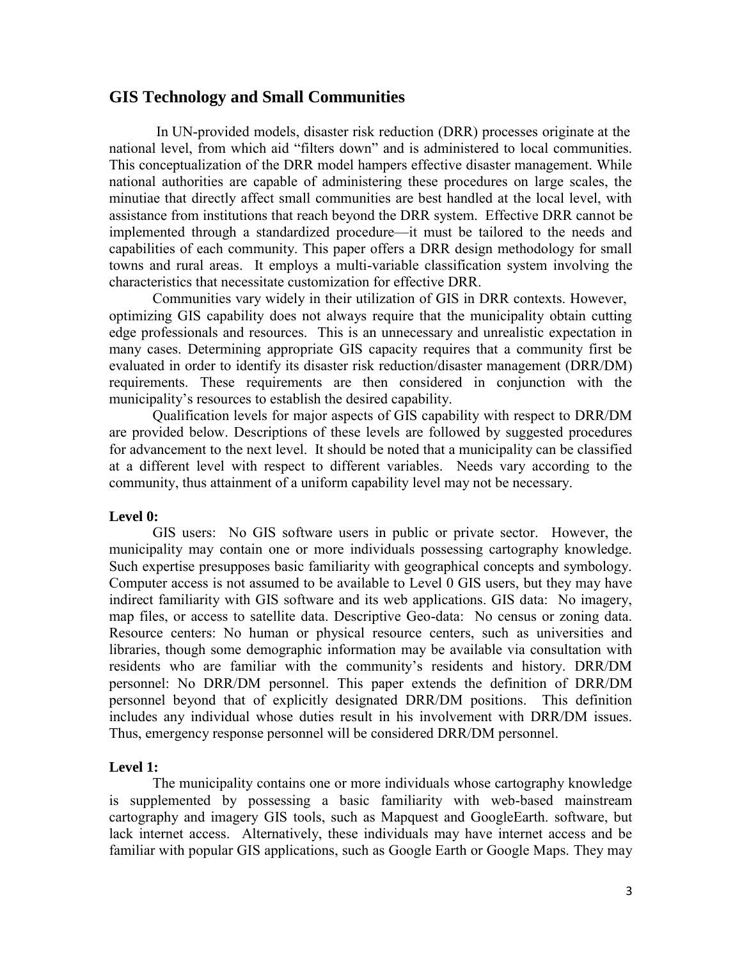## **GIS Technology and Small Communities**

In UN-provided models, disaster risk reduction (DRR) processes originate at the national level, from which aid "filters down" and is administered to local communities. This conceptualization of the DRR model hampers effective disaster management. While national authorities are capable of administering these procedures on large scales, the minutiae that directly affect small communities are best handled at the local level, with assistance from institutions that reach beyond the DRR system. Effective DRR cannot be implemented through a standardized procedure—it must be tailored to the needs and capabilities of each community. This paper offers a DRR design methodology for small towns and rural areas. It employs a multi-variable classification system involving the characteristics that necessitate customization for effective DRR.

Communities vary widely in their utilization of GIS in DRR contexts. However, optimizing GIS capability does not always require that the municipality obtain cutting edge professionals and resources. This is an unnecessary and unrealistic expectation in many cases. Determining appropriate GIS capacity requires that a community first be evaluated in order to identify its disaster risk reduction/disaster management (DRR/DM) requirements. These requirements are then considered in conjunction with the municipality's resources to establish the desired capability.

Qualification levels for major aspects of GIS capability with respect to DRR/DM are provided below. Descriptions of these levels are followed by suggested procedures for advancement to the next level. It should be noted that a municipality can be classified at a different level with respect to different variables. Needs vary according to the community, thus attainment of a uniform capability level may not be necessary.

#### **Level 0:**

GIS users: No GIS software users in public or private sector. However, the municipality may contain one or more individuals possessing cartography knowledge. Such expertise presupposes basic familiarity with geographical concepts and symbology. Computer access is not assumed to be available to Level 0 GIS users, but they may have indirect familiarity with GIS software and its web applications. GIS data: No imagery, map files, or access to satellite data. Descriptive Geo-data: No census or zoning data. Resource centers: No human or physical resource centers, such as universities and libraries, though some demographic information may be available via consultation with residents who are familiar with the community's residents and history. DRR/DM personnel: No DRR/DM personnel. This paper extends the definition of DRR/DM personnel beyond that of explicitly designated DRR/DM positions. This definition includes any individual whose duties result in his involvement with DRR/DM issues. Thus, emergency response personnel will be considered DRR/DM personnel.

#### **Level 1:**

The municipality contains one or more individuals whose cartography knowledge is supplemented by possessing a basic familiarity with web-based mainstream cartography and imagery GIS tools, such as Mapquest and GoogleEarth. software, but lack internet access. Alternatively, these individuals may have internet access and be familiar with popular GIS applications, such as Google Earth or Google Maps. They may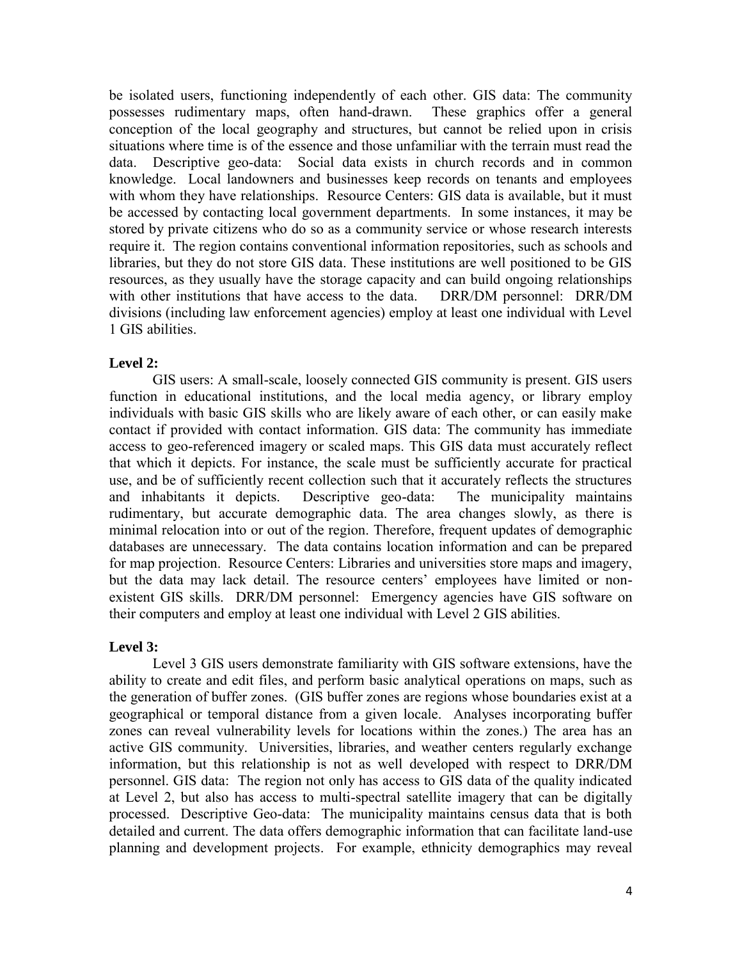be isolated users, functioning independently of each other. GIS data: The community possesses rudimentary maps, often hand-drawn. These graphics offer a general conception of the local geography and structures, but cannot be relied upon in crisis situations where time is of the essence and those unfamiliar with the terrain must read the data. Descriptive geo-data: Social data exists in church records and in common knowledge. Local landowners and businesses keep records on tenants and employees with whom they have relationships. Resource Centers: GIS data is available, but it must be accessed by contacting local government departments. In some instances, it may be stored by private citizens who do so as a community service or whose research interests require it. The region contains conventional information repositories, such as schools and libraries, but they do not store GIS data. These institutions are well positioned to be GIS resources, as they usually have the storage capacity and can build ongoing relationships with other institutions that have access to the data. DRR/DM personnel: DRR/DM divisions (including law enforcement agencies) employ at least one individual with Level 1 GIS abilities.

#### **Level 2:**

GIS users: A small-scale, loosely connected GIS community is present. GIS users function in educational institutions, and the local media agency, or library employ individuals with basic GIS skills who are likely aware of each other, or can easily make contact if provided with contact information. GIS data: The community has immediate access to geo-referenced imagery or scaled maps. This GIS data must accurately reflect that which it depicts. For instance, the scale must be sufficiently accurate for practical use, and be of sufficiently recent collection such that it accurately reflects the structures and inhabitants it depicts. Descriptive geo-data: The municipality maintains rudimentary, but accurate demographic data. The area changes slowly, as there is minimal relocation into or out of the region. Therefore, frequent updates of demographic databases are unnecessary. The data contains location information and can be prepared for map projection. Resource Centers: Libraries and universities store maps and imagery, but the data may lack detail. The resource centers' employees have limited or nonexistent GIS skills. DRR/DM personnel: Emergency agencies have GIS software on their computers and employ at least one individual with Level 2 GIS abilities.

#### **Level 3:**

Level 3 GIS users demonstrate familiarity with GIS software extensions, have the ability to create and edit files, and perform basic analytical operations on maps, such as the generation of buffer zones. (GIS buffer zones are regions whose boundaries exist at a geographical or temporal distance from a given locale. Analyses incorporating buffer zones can reveal vulnerability levels for locations within the zones.) The area has an active GIS community. Universities, libraries, and weather centers regularly exchange information, but this relationship is not as well developed with respect to DRR/DM personnel. GIS data: The region not only has access to GIS data of the quality indicated at Level 2, but also has access to multi-spectral satellite imagery that can be digitally processed. Descriptive Geo-data: The municipality maintains census data that is both detailed and current. The data offers demographic information that can facilitate land-use planning and development projects. For example, ethnicity demographics may reveal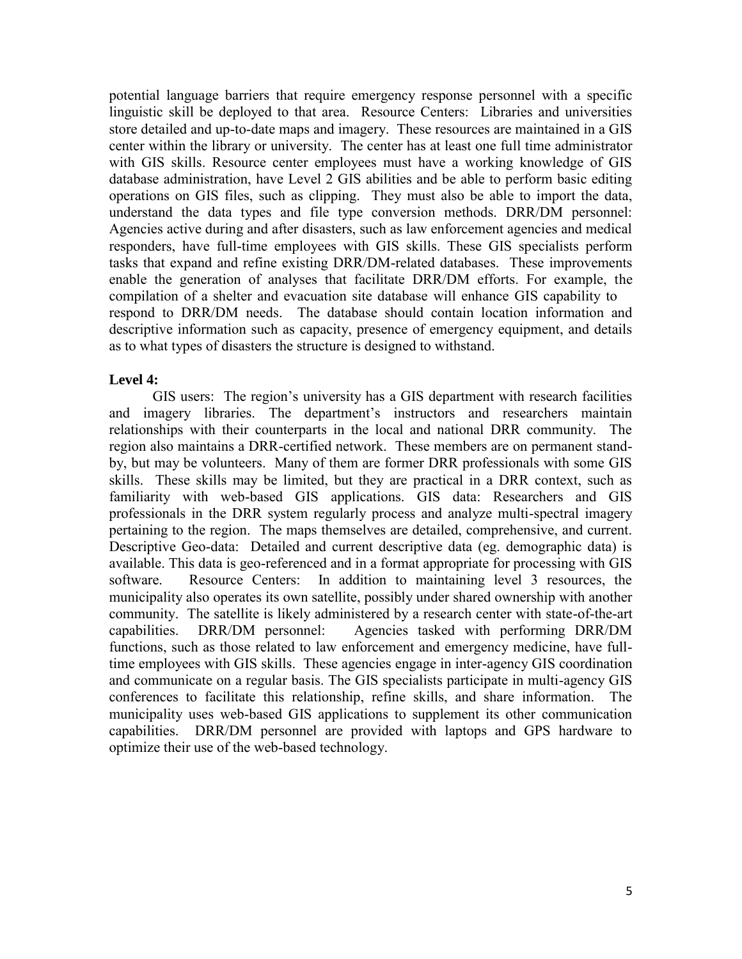potential language barriers that require emergency response personnel with a specific linguistic skill be deployed to that area. Resource Centers: Libraries and universities store detailed and up-to-date maps and imagery. These resources are maintained in a GIS center within the library or university. The center has at least one full time administrator with GIS skills. Resource center employees must have a working knowledge of GIS database administration, have Level 2 GIS abilities and be able to perform basic editing operations on GIS files, such as clipping. They must also be able to import the data, understand the data types and file type conversion methods. DRR/DM personnel: Agencies active during and after disasters, such as law enforcement agencies and medical responders, have full-time employees with GIS skills. These GIS specialists perform tasks that expand and refine existing DRR/DM-related databases. These improvements enable the generation of analyses that facilitate DRR/DM efforts. For example, the compilation of a shelter and evacuation site database will enhance GIS capability to respond to DRR/DM needs. The database should contain location information and descriptive information such as capacity, presence of emergency equipment, and details as to what types of disasters the structure is designed to withstand.

#### **Level 4:**

GIS users: The region's university has a GIS department with research facilities and imagery libraries. The department's instructors and researchers maintain relationships with their counterparts in the local and national DRR community. The region also maintains a DRR-certified network. These members are on permanent standby, but may be volunteers. Many of them are former DRR professionals with some GIS skills. These skills may be limited, but they are practical in a DRR context, such as familiarity with web-based GIS applications. GIS data: Researchers and GIS professionals in the DRR system regularly process and analyze multi-spectral imagery pertaining to the region. The maps themselves are detailed, comprehensive, and current. Descriptive Geo-data: Detailed and current descriptive data (eg. demographic data) is available. This data is geo-referenced and in a format appropriate for processing with GIS software. Resource Centers: In addition to maintaining level 3 resources, the municipality also operates its own satellite, possibly under shared ownership with another community. The satellite is likely administered by a research center with state-of-the-art capabilities. DRR/DM personnel: Agencies tasked with performing DRR/DM functions, such as those related to law enforcement and emergency medicine, have fulltime employees with GIS skills. These agencies engage in inter-agency GIS coordination and communicate on a regular basis. The GIS specialists participate in multi-agency GIS conferences to facilitate this relationship, refine skills, and share information. The municipality uses web-based GIS applications to supplement its other communication capabilities. DRR/DM personnel are provided with laptops and GPS hardware to optimize their use of the web-based technology.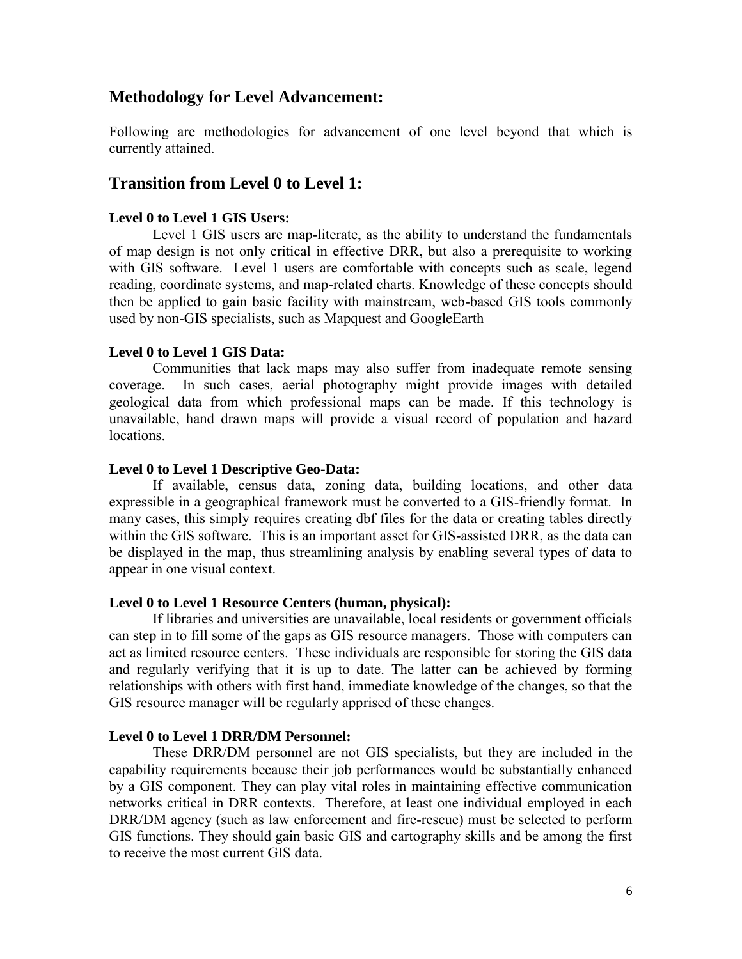## **Methodology for Level Advancement:**

Following are methodologies for advancement of one level beyond that which is currently attained.

## **Transition from Level 0 to Level 1:**

#### **Level 0 to Level 1 GIS Users:**

 Level 1 GIS users are map-literate, as the ability to understand the fundamentals of map design is not only critical in effective DRR, but also a prerequisite to working with GIS software. Level 1 users are comfortable with concepts such as scale, legend reading, coordinate systems, and map-related charts. Knowledge of these concepts should then be applied to gain basic facility with mainstream, web-based GIS tools commonly used by non-GIS specialists, such as Mapquest and GoogleEarth

#### **Level 0 to Level 1 GIS Data:**

 Communities that lack maps may also suffer from inadequate remote sensing coverage. In such cases, aerial photography might provide images with detailed geological data from which professional maps can be made. If this technology is unavailable, hand drawn maps will provide a visual record of population and hazard locations.

#### **Level 0 to Level 1 Descriptive Geo-Data:**

 If available, census data, zoning data, building locations, and other data expressible in a geographical framework must be converted to a GIS-friendly format. In many cases, this simply requires creating dbf files for the data or creating tables directly within the GIS software. This is an important asset for GIS-assisted DRR, as the data can be displayed in the map, thus streamlining analysis by enabling several types of data to appear in one visual context.

#### **Level 0 to Level 1 Resource Centers (human, physical):**

 If libraries and universities are unavailable, local residents or government officials can step in to fill some of the gaps as GIS resource managers. Those with computers can act as limited resource centers. These individuals are responsible for storing the GIS data and regularly verifying that it is up to date. The latter can be achieved by forming relationships with others with first hand, immediate knowledge of the changes, so that the GIS resource manager will be regularly apprised of these changes.

#### **Level 0 to Level 1 DRR/DM Personnel:**

 These DRR/DM personnel are not GIS specialists, but they are included in the capability requirements because their job performances would be substantially enhanced by a GIS component. They can play vital roles in maintaining effective communication networks critical in DRR contexts. Therefore, at least one individual employed in each DRR/DM agency (such as law enforcement and fire-rescue) must be selected to perform GIS functions. They should gain basic GIS and cartography skills and be among the first to receive the most current GIS data.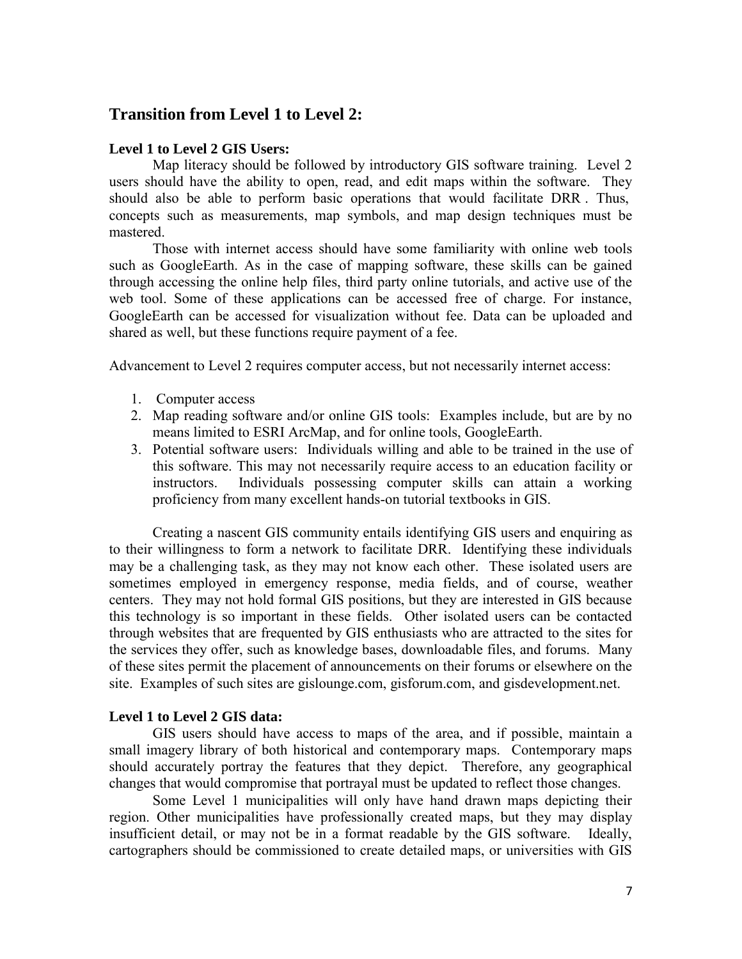# **Transition from Level 1 to Level 2:**

#### **Level 1 to Level 2 GIS Users:**

Map literacy should be followed by introductory GIS software training. Level 2 users should have the ability to open, read, and edit maps within the software. They should also be able to perform basic operations that would facilitate DRR . Thus, concepts such as measurements, map symbols, and map design techniques must be mastered.

 Those with internet access should have some familiarity with online web tools such as GoogleEarth. As in the case of mapping software, these skills can be gained through accessing the online help files, third party online tutorials, and active use of the web tool. Some of these applications can be accessed free of charge. For instance, GoogleEarth can be accessed for visualization without fee. Data can be uploaded and shared as well, but these functions require payment of a fee.

Advancement to Level 2 requires computer access, but not necessarily internet access:

- 1. Computer access
- 2. Map reading software and/or online GIS tools: Examples include, but are by no means limited to ESRI ArcMap, and for online tools, GoogleEarth.
- 3. Potential software users: Individuals willing and able to be trained in the use of this software. This may not necessarily require access to an education facility or instructors. Individuals possessing computer skills can attain a working proficiency from many excellent hands-on tutorial textbooks in GIS.

 Creating a nascent GIS community entails identifying GIS users and enquiring as to their willingness to form a network to facilitate DRR. Identifying these individuals may be a challenging task, as they may not know each other. These isolated users are sometimes employed in emergency response, media fields, and of course, weather centers. They may not hold formal GIS positions, but they are interested in GIS because this technology is so important in these fields. Other isolated users can be contacted through websites that are frequented by GIS enthusiasts who are attracted to the sites for the services they offer, such as knowledge bases, downloadable files, and forums. Many of these sites permit the placement of announcements on their forums or elsewhere on the site. Examples of such sites are gislounge.com, gisforum.com, and gisdevelopment.net.

#### **Level 1 to Level 2 GIS data:**

 GIS users should have access to maps of the area, and if possible, maintain a small imagery library of both historical and contemporary maps. Contemporary maps should accurately portray the features that they depict. Therefore, any geographical changes that would compromise that portrayal must be updated to reflect those changes.

 Some Level 1 municipalities will only have hand drawn maps depicting their region. Other municipalities have professionally created maps, but they may display insufficient detail, or may not be in a format readable by the GIS software. Ideally, cartographers should be commissioned to create detailed maps, or universities with GIS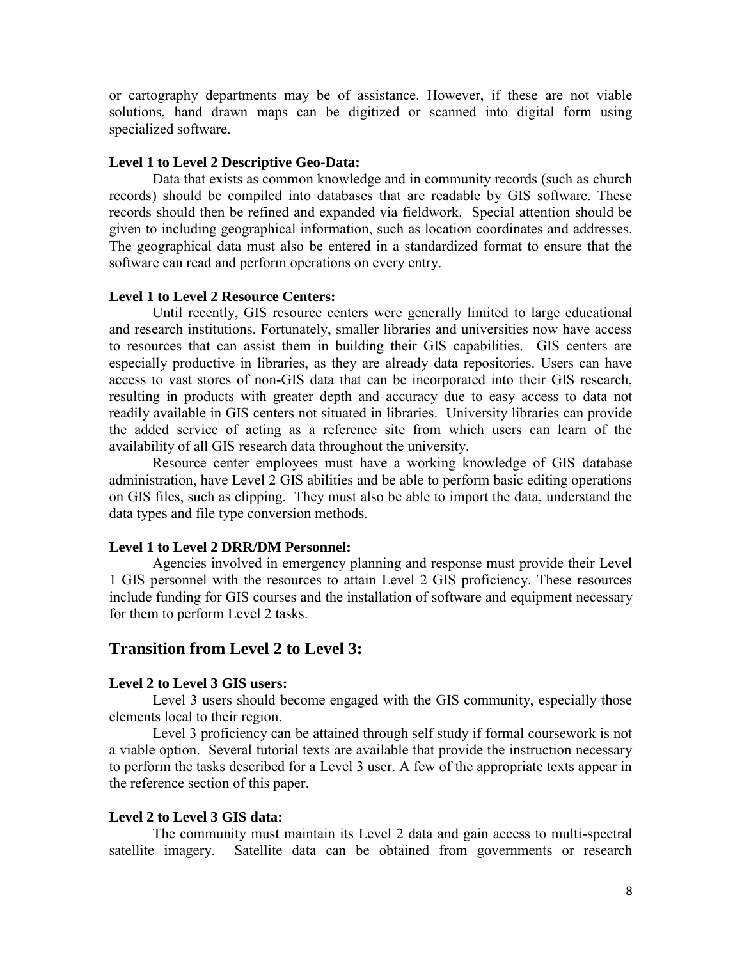or cartography departments may be of assistance. However, if these are not viable solutions, hand drawn maps can be digitized or scanned into digital form using specialized software.

#### **Level 1 to Level 2 Descriptive Geo-Data:**

 Data that exists as common knowledge and in community records (such as church records) should be compiled into databases that are readable by GIS software. These records should then be refined and expanded via fieldwork. Special attention should be given to including geographical information, such as location coordinates and addresses. The geographical data must also be entered in a standardized format to ensure that the software can read and perform operations on every entry.

#### **Level 1 to Level 2 Resource Centers:**

 Until recently, GIS resource centers were generally limited to large educational and research institutions. Fortunately, smaller libraries and universities now have access to resources that can assist them in building their GIS capabilities. GIS centers are especially productive in libraries, as they are already data repositories. Users can have access to vast stores of non-GIS data that can be incorporated into their GIS research, resulting in products with greater depth and accuracy due to easy access to data not readily available in GIS centers not situated in libraries. University libraries can provide the added service of acting as a reference site from which users can learn of the availability of all GIS research data throughout the university.

Resource center employees must have a working knowledge of GIS database administration, have Level 2 GIS abilities and be able to perform basic editing operations on GIS files, such as clipping. They must also be able to import the data, understand the data types and file type conversion methods.

#### **Level 1 to Level 2 DRR/DM Personnel:**

 Agencies involved in emergency planning and response must provide their Level 1 GIS personnel with the resources to attain Level 2 GIS proficiency. These resources include funding for GIS courses and the installation of software and equipment necessary for them to perform Level 2 tasks.

## **Transition from Level 2 to Level 3:**

#### **Level 2 to Level 3 GIS users:**

Level 3 users should become engaged with the GIS community, especially those elements local to their region.

 Level 3 proficiency can be attained through self study if formal coursework is not a viable option. Several tutorial texts are available that provide the instruction necessary to perform the tasks described for a Level 3 user. A few of the appropriate texts appear in the reference section of this paper.

#### **Level 2 to Level 3 GIS data:**

The community must maintain its Level 2 data and gain access to multi-spectral satellite imagery. Satellite data can be obtained from governments or research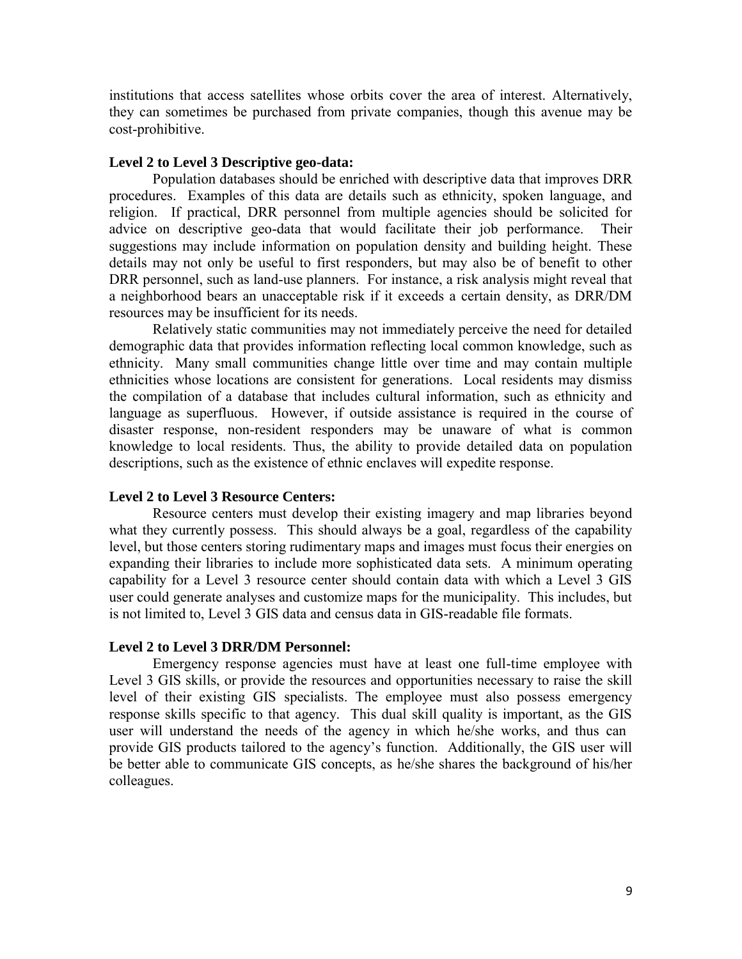institutions that access satellites whose orbits cover the area of interest. Alternatively, they can sometimes be purchased from private companies, though this avenue may be cost-prohibitive.

#### **Level 2 to Level 3 Descriptive geo-data:**

Population databases should be enriched with descriptive data that improves DRR procedures. Examples of this data are details such as ethnicity, spoken language, and religion. If practical, DRR personnel from multiple agencies should be solicited for advice on descriptive geo-data that would facilitate their job performance. Their suggestions may include information on population density and building height. These details may not only be useful to first responders, but may also be of benefit to other DRR personnel, such as land-use planners. For instance, a risk analysis might reveal that a neighborhood bears an unacceptable risk if it exceeds a certain density, as DRR/DM resources may be insufficient for its needs.

Relatively static communities may not immediately perceive the need for detailed demographic data that provides information reflecting local common knowledge, such as ethnicity. Many small communities change little over time and may contain multiple ethnicities whose locations are consistent for generations. Local residents may dismiss the compilation of a database that includes cultural information, such as ethnicity and language as superfluous. However, if outside assistance is required in the course of disaster response, non-resident responders may be unaware of what is common knowledge to local residents. Thus, the ability to provide detailed data on population descriptions, such as the existence of ethnic enclaves will expedite response.

#### **Level 2 to Level 3 Resource Centers:**

Resource centers must develop their existing imagery and map libraries beyond what they currently possess. This should always be a goal, regardless of the capability level, but those centers storing rudimentary maps and images must focus their energies on expanding their libraries to include more sophisticated data sets. A minimum operating capability for a Level 3 resource center should contain data with which a Level 3 GIS user could generate analyses and customize maps for the municipality. This includes, but is not limited to, Level 3 GIS data and census data in GIS-readable file formats.

#### **Level 2 to Level 3 DRR/DM Personnel:**

Emergency response agencies must have at least one full-time employee with Level 3 GIS skills, or provide the resources and opportunities necessary to raise the skill level of their existing GIS specialists. The employee must also possess emergency response skills specific to that agency. This dual skill quality is important, as the GIS user will understand the needs of the agency in which he/she works, and thus can provide GIS products tailored to the agency's function. Additionally, the GIS user will be better able to communicate GIS concepts, as he/she shares the background of his/her colleagues.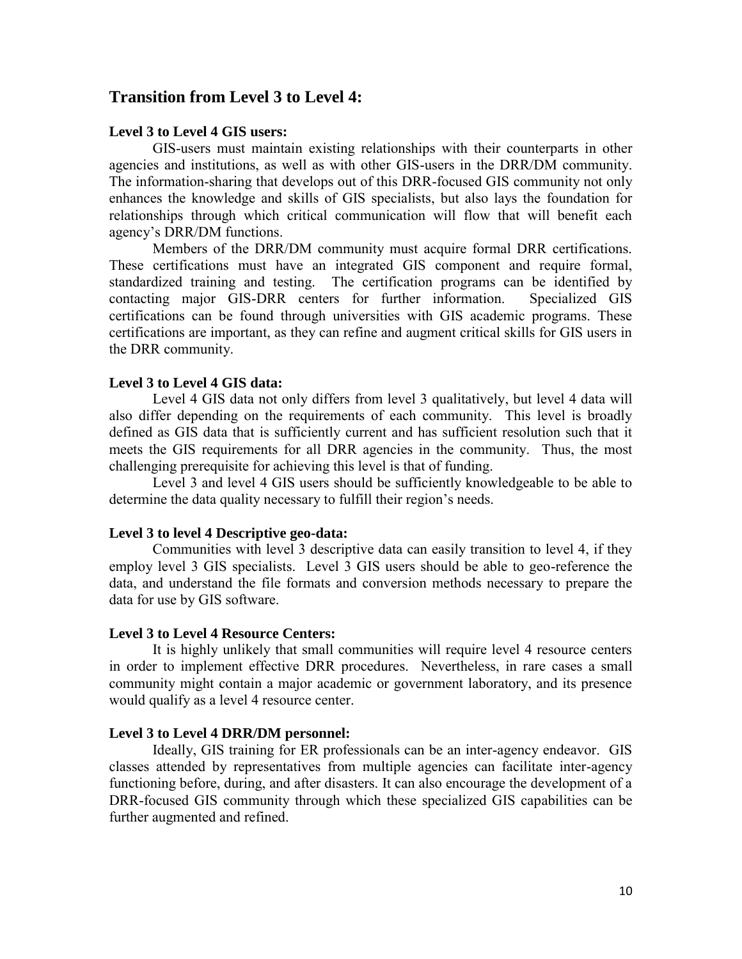# **Transition from Level 3 to Level 4:**

#### **Level 3 to Level 4 GIS users:**

GIS-users must maintain existing relationships with their counterparts in other agencies and institutions, as well as with other GIS-users in the DRR/DM community. The information-sharing that develops out of this DRR-focused GIS community not only enhances the knowledge and skills of GIS specialists, but also lays the foundation for relationships through which critical communication will flow that will benefit each agency's DRR/DM functions.

Members of the DRR/DM community must acquire formal DRR certifications. These certifications must have an integrated GIS component and require formal, standardized training and testing. The certification programs can be identified by contacting major GIS-DRR centers for further information. Specialized GIS certifications can be found through universities with GIS academic programs. These certifications are important, as they can refine and augment critical skills for GIS users in the DRR community.

#### **Level 3 to Level 4 GIS data:**

 Level 4 GIS data not only differs from level 3 qualitatively, but level 4 data will also differ depending on the requirements of each community. This level is broadly defined as GIS data that is sufficiently current and has sufficient resolution such that it meets the GIS requirements for all DRR agencies in the community. Thus, the most challenging prerequisite for achieving this level is that of funding.

Level 3 and level 4 GIS users should be sufficiently knowledgeable to be able to determine the data quality necessary to fulfill their region's needs.

#### **Level 3 to level 4 Descriptive geo-data:**

 Communities with level 3 descriptive data can easily transition to level 4, if they employ level 3 GIS specialists. Level 3 GIS users should be able to geo-reference the data, and understand the file formats and conversion methods necessary to prepare the data for use by GIS software.

#### **Level 3 to Level 4 Resource Centers:**

 It is highly unlikely that small communities will require level 4 resource centers in order to implement effective DRR procedures. Nevertheless, in rare cases a small community might contain a major academic or government laboratory, and its presence would qualify as a level 4 resource center.

#### **Level 3 to Level 4 DRR/DM personnel:**

 Ideally, GIS training for ER professionals can be an inter-agency endeavor. GIS classes attended by representatives from multiple agencies can facilitate inter-agency functioning before, during, and after disasters. It can also encourage the development of a DRR-focused GIS community through which these specialized GIS capabilities can be further augmented and refined.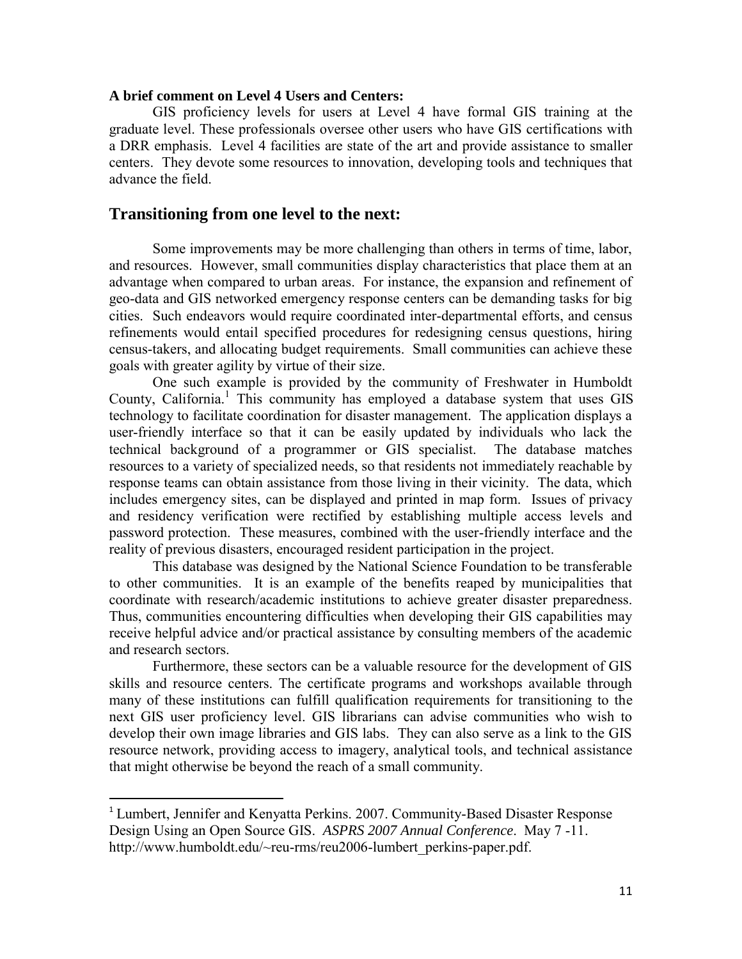#### **A brief comment on Level 4 Users and Centers:**

GIS proficiency levels for users at Level 4 have formal GIS training at the graduate level. These professionals oversee other users who have GIS certifications with a DRR emphasis. Level 4 facilities are state of the art and provide assistance to smaller centers. They devote some resources to innovation, developing tools and techniques that advance the field.

#### **Transitioning from one level to the next:**

Some improvements may be more challenging than others in terms of time, labor, and resources. However, small communities display characteristics that place them at an advantage when compared to urban areas. For instance, the expansion and refinement of geo-data and GIS networked emergency response centers can be demanding tasks for big cities. Such endeavors would require coordinated inter-departmental efforts, and census refinements would entail specified procedures for redesigning census questions, hiring census-takers, and allocating budget requirements. Small communities can achieve these goals with greater agility by virtue of their size.

One such example is provided by the community of Freshwater in Humboldt County, California.<sup>1</sup> This community has employed a database system that uses GIS technology to facilitate coordination for disaster management. The application displays a user-friendly interface so that it can be easily updated by individuals who lack the technical background of a programmer or GIS specialist. The database matches resources to a variety of specialized needs, so that residents not immediately reachable by response teams can obtain assistance from those living in their vicinity. The data, which includes emergency sites, can be displayed and printed in map form. Issues of privacy and residency verification were rectified by establishing multiple access levels and password protection. These measures, combined with the user-friendly interface and the reality of previous disasters, encouraged resident participation in the project.

This database was designed by the National Science Foundation to be transferable to other communities. It is an example of the benefits reaped by municipalities that coordinate with research/academic institutions to achieve greater disaster preparedness. Thus, communities encountering difficulties when developing their GIS capabilities may receive helpful advice and/or practical assistance by consulting members of the academic and research sectors.

Furthermore, these sectors can be a valuable resource for the development of GIS skills and resource centers. The certificate programs and workshops available through many of these institutions can fulfill qualification requirements for transitioning to the next GIS user proficiency level. GIS librarians can advise communities who wish to develop their own image libraries and GIS labs. They can also serve as a link to the GIS resource network, providing access to imagery, analytical tools, and technical assistance that might otherwise be beyond the reach of a small community.

 $\overline{a}$ 

<sup>&</sup>lt;sup>1</sup> Lumbert, Jennifer and Kenyatta Perkins. 2007. Community-Based Disaster Response Design Using an Open Source GIS. *ASPRS 2007 Annual Conference*. May 7 -11. http://www.humboldt.edu/~reu-rms/reu2006-lumbert\_perkins-paper.pdf.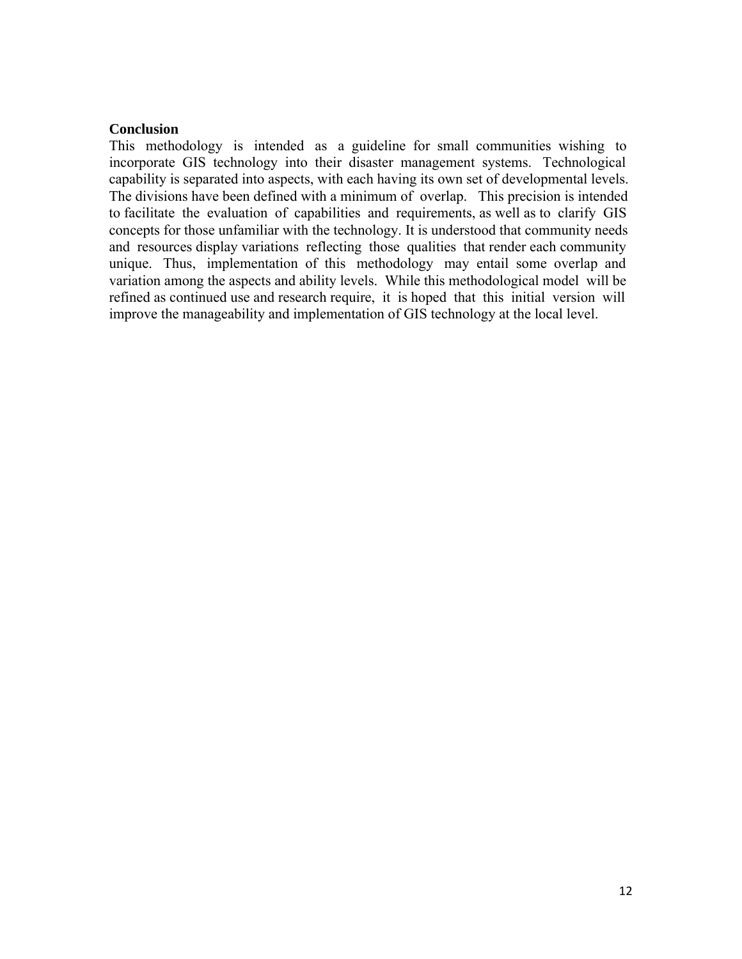#### **Conclusion**

This methodology is intended as a guideline for small communities wishing to incorporate GIS technology into their disaster management systems. Technological capability is separated into aspects, with each having its own set of developmental levels. The divisions have been defined with a minimum of overlap. This precision is intended to facilitate the evaluation of capabilities and requirements, as well as to clarify GIS concepts for those unfamiliar with the technology. It is understood that community needs and resources display variations reflecting those qualities that render each community unique. Thus, implementation of this methodology may entail some overlap and variation among the aspects and ability levels. While this methodological model will be refined as continued use and research require, it is hoped that this initial version will improve the manageability and implementation of GIS technology at the local level.